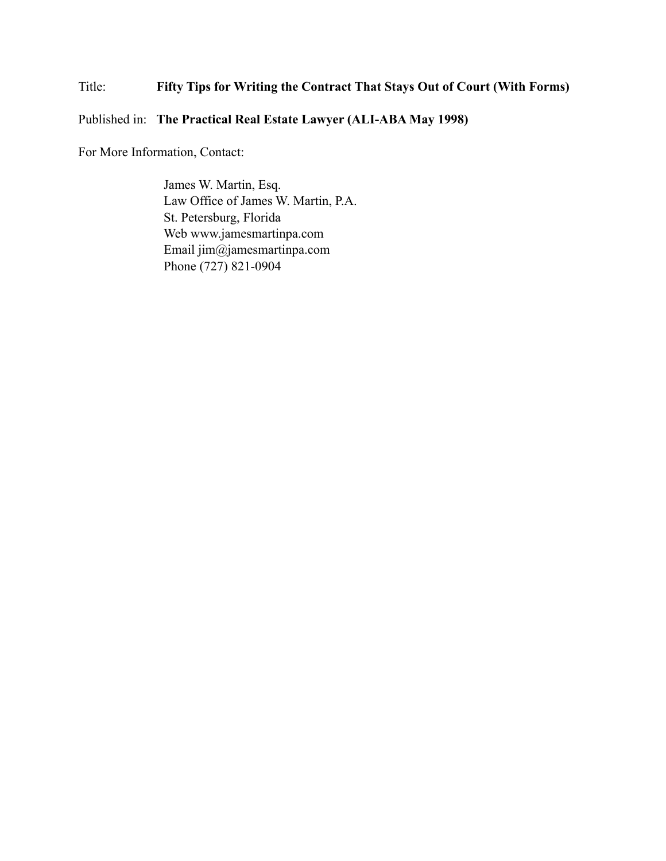# Title: **Fifty Tips for Writing the Contract That Stays Out of Court (With Forms)**

# Published in: **The Practical Real Estate Lawyer (ALI-ABA May 1998)**

For More Information, Contact:

James W. Martin, Esq. Law Office of James W. Martin, P.A. St. Petersburg, Florida Web www.jamesmartinpa.com Email jim@jamesmartinpa.com Phone (727) 821-0904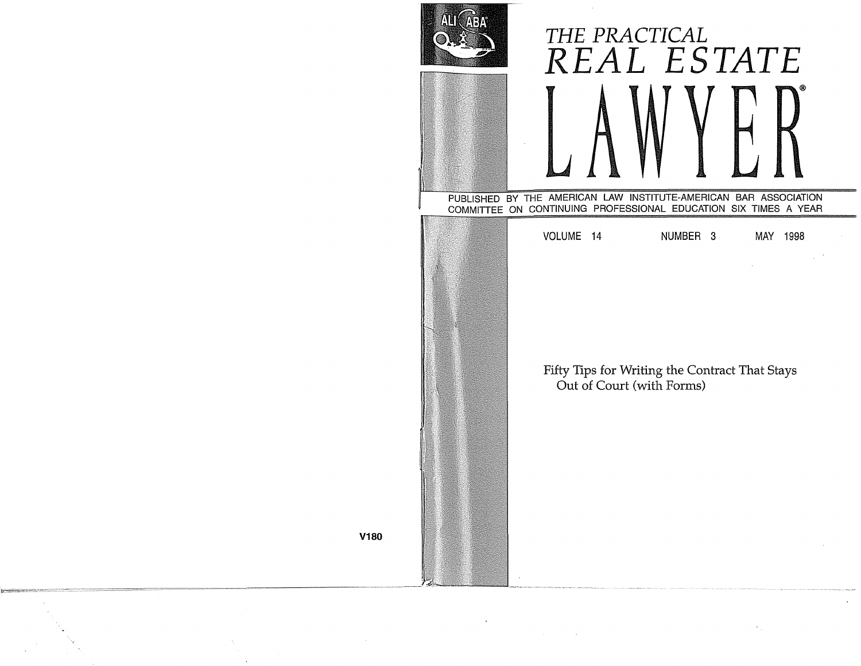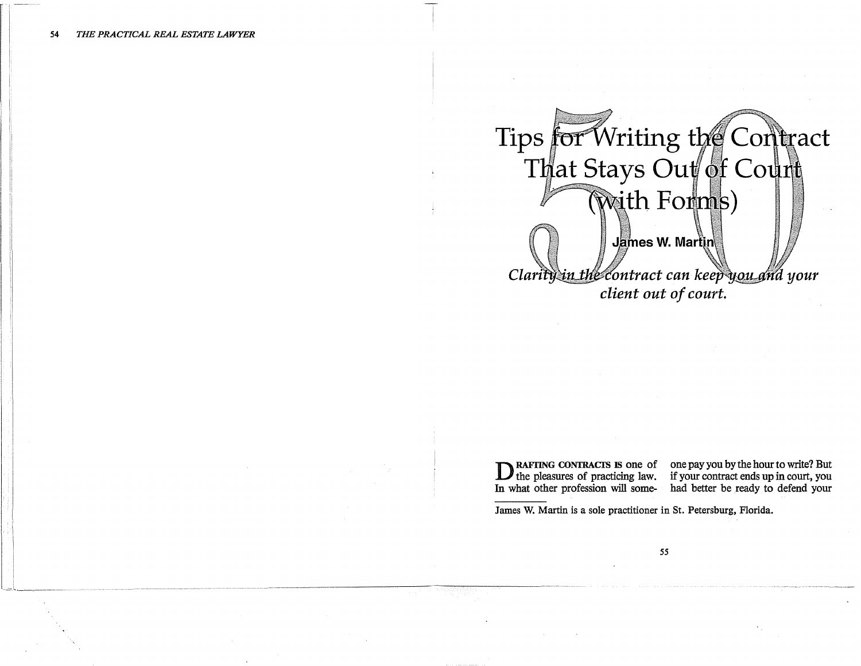

**DRAFTING CONTRACTS IS one of** one pay you by the hour to write? But the pleasures of practicing law. if your contract ends up in court, you In what other profession will some- had better be ready to defend your

James W. Martin is a sole practitioner in St. Petersburg, Florida.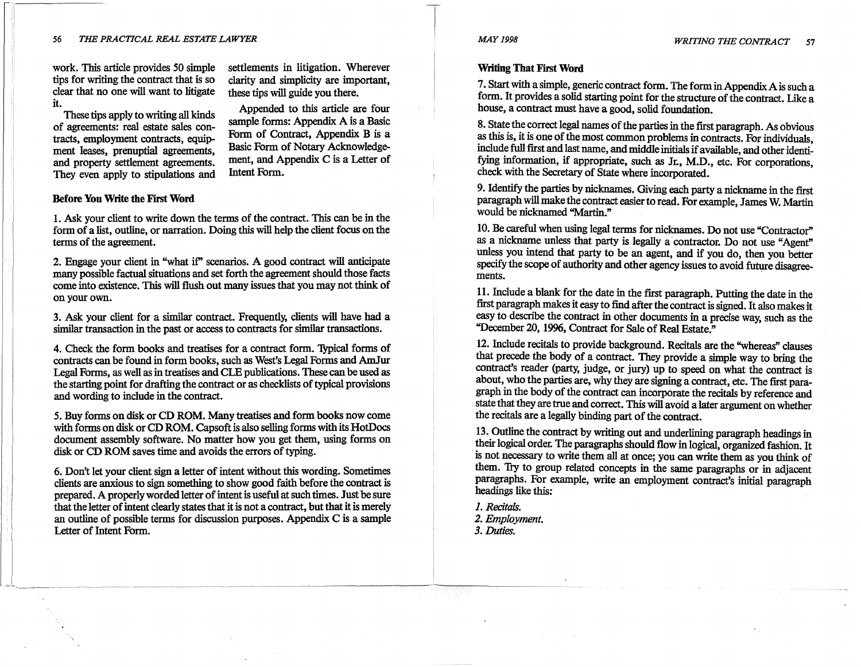work. This article provides 50 simple tips for writing the contract that is so clear that no one will want to litigate it.

settlements in litigation. Wherever clarity and simplicity are important, these tips will guide you there.

Appended to this article are four sample forms: Appendix A is a Basic Form of Contract, Appendix B is a Basic Form of Notary Acknowledgement, and Appendix C is a Letter of

These tips apply to writing all kinds of agreements: real estate sales contracts, employment contracts, equipment leases, prenuptial agreements, and property settlement agreements. They even apply to stipulations and

**Before You Write the First Word** 

1. Ask your client to write down the terms of the contract. This can be in the form of a list, outline, or narration. Doing this will help the client focus on the terms of the agreement.

Intent Form.

2. Engage your client in "what if" scenarios. A good contract will anticipate many possible factual situations and set forth the agreement should those facts come into existence. This will flush out many issues that you may not think of on your own.

3. Ask your client for a similar contract. Frequently, clients will have had a similar transaction in the past or access to contracts for similar transactions.

4. Check the form books and treatises for a contract form. 'Iypical forms of contracts can be found in form books, such as West's Legal Forms and AmJur Legal Forms, as well as in treatises and CLE publications. These can be used as the starting point for drafting the contract or as checklists of typical provisions and wording to include in the contract.

5. Buy forms on disk or CD **ROM.** Many treatises and form books now come with forms on disk or CD ROM. Capsoft is also selling forms with its HotDocs document assembly software. No matter how you get them, using forms on disk or CD ROM saves time and avoids the errors of typing.

6. Don't let your client sign a letter of intent without this wording. Sometimes clients are anxious to sign something to show good faith before the contract is prepared. A properly worded letter of intent is useful at such times. Just be sure that the letter of intent clearly states that it is not a contract, but that it is merely an outline of possible terms for discussion purposes. Appendix C is a sample Letter of Intent Form.

#### **Writing That First Word**

7. Start with a simple, generic contract form. The form in Appendix Ais such a form. It provides a solid starting point for the structure of the contract. Like a house, a contract must have a good, solid foundation.

8. State the correct legal names of the parties in the first paragraph. As obvious as this is, it is one of the most common problems in contracts. For individuals, mclude full first and last name, and middle initials if available, and other identifying information, if appropriate, such as Jr., **M.D.,** etc. For corporations check with the Secretary of State where incorporated. '

9. Identify the parties by nicknames. Giving each party a nickname in the first paragraph will make the contract easier to read. For example, James W. Martin would be nicknamed "Martin."

10. Be careful when using legal terms for nicknames. Do not use "Contractor" as a nickname unless that party is legally a contractor. Do not use "Agent" unless you intend that party to be an agent, and if you do, then you better specify the scope of authority and other agency issues to avoid future disagreements.

11. Include a blank for the date in the first paragraph. Putting the date in the first paragraph makes it easy to find after the contract is signed. It also makes it easy to descn'be the contract in other documents in a precise way, such as the "December 20, 1996, Contract for Sale of Real Estate."

12. Include recitals to provide background. Recitals are the "whereas" clauses that precede the body of a contract. They provide a simple way to bring the contract's reader (party, judge, or jury) up to speed on what the contract is about, who the parties are, why they are signing a contract, etc. The first paragraph in the body of the contract can incorporate the recitals by reference and state that they are true and correct. This will avoid a later argument on whether the recitals are a legally binding part of the contract.

13. Outline the contract by writing out and underlining paragraph headings in their logical order. The paragraphs should flow in logical, organized fashion. It is not necessary to write them all at once; you can write them as you think of them. 1ry to group related concepts in the same paragraphs or in adjacent paragraphs. For example, write an employment contract's initial paragraph headings like this:

*1. Recitals.* 

*2. Employment.* 

*3. Duties.*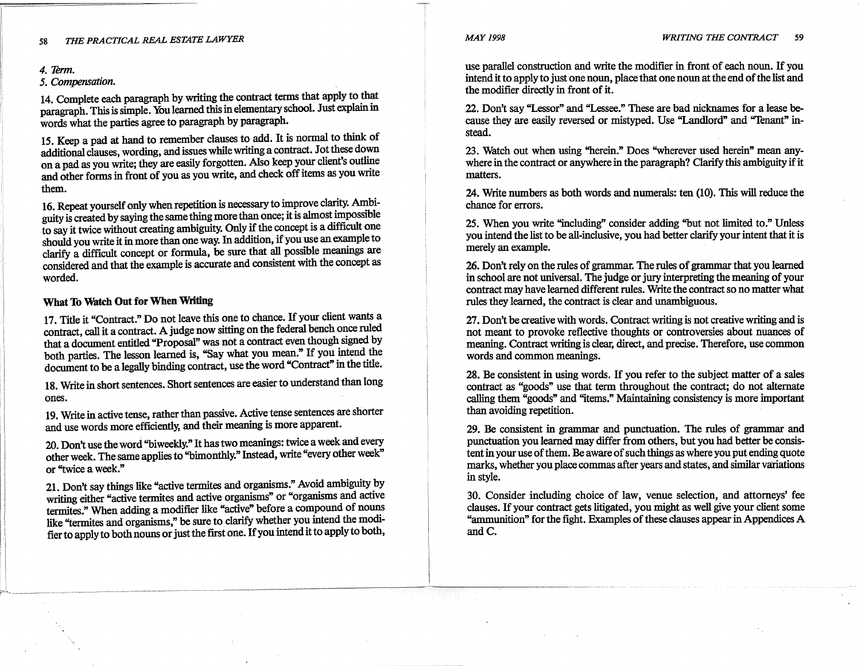#### *4. 'Jenn.*

#### 5. Compensation.

14. Complete each paragraph by writing the contract terms that apply to that paragraph. This is simple. You learned this in elementary school. Just explain m words what the parties agree to paragraph by paragraph.

15. Keep a pad at hand to remember clauses to add. It is normal to think of additional clauses, wording, and issues while writing a contract. Jot these down on a pad as you write; they are easily forgotten. Also keep your client's outline and other forms in front of you as you wnte, and check off items as you wnte them.

16. Repeat yourself only when repetition is necessary to improve clarity. Ambiguity is created by saying the same thing more than once; it is almost impossible to say it twice without creating ambiguity. Only if the concept is a difficult one should you write it in more than one way. In addition, if you use an example to clarify a difficult concept or formula, be sure that all possible meanings are considered and that the example is accurate and consistent with the concept as worded.

#### **What To Watch Out for When Writing**

17. Title it "Contract." Do not leave this one to chance. If your client wants a contract, call it a contract. A judge now sitting on the federal bench once ruled that a document entitled "Proposal" was not a contract even though signed by both parties. The lesson learned is, "Say what you mean." If you intend the document to be a legally binding contract, use the word "Contract" in the title.

18. Write in short sentences. Short sentences are easier to understand than long ones.

19. Write in active tense, rather than passive. Active tense sentences are shorter and use words more efficiently, and their meaning is more apparent.

20. Don't use the word "biweekly." It has two meanings: twice a week and every other week. The same applies to "bimonthly." Instead, write "every other week" or "twice a week."

21. Don't say things like "active termites and organisms." Avoid ambiguity by writing either "active termites and active organisms" or "organisms and active termites." When adding a modifier like "active" before a compound of nouns like "termites and organisms," be sure to clarify whether you intend the modifier to apply to both nouns or just the first one. If you intend it to apply to both,

use parallel construction and write the modifier in front of each noun. If you intend it to apply to just one noun, place that one noun at the end of the list and the modifier directly in front of it.

22. Don't say "Lessor" and "Lessee." These are bad nicknames for a lease because they are easily reversed or mistyped. Use "Landlord" and "Tenant" instead.

23. Watch out when using "herein." Does "wherever used herein" mean anywhere in the contract or anywhere in the paragraph? Clarify this ambiguity if it matters.

24. Write numbers as both words and numerals: ten (10). This will reduce the chance for errors.

25. When you write "including" consider adding "but not limited to." Unless you intend the list to be all-inclusive, you had better clarify your intent that it is merely an example.

26. Don't rely on the rules of grammar. The rules of grammar that you learned in school are not universal. The judge or jury interpreting the meaning of your contract may have learned different rules. Write the contract so no matter what rules they learned, the contract is clear and unambiguous.

27. Don't be creative with words. Contract writing is not creative writing and is not meant to provoke reflective thoughts or controversies about nuances of meaning. Contract writing is clear, direct, and precise. Therefore, use common words and common meanings.

28. Be consistent in using words. If you refer to the subject matter of a sales contract as "goods" use that term throughout the contract; do not alternate calling them "goods" and "items." Maintaining consistency is more important than avoiding repetition.

29. Be consistent in grammar and punctuation. The rules of grammar and punctuation you learned may differ from others, but you had better be consistent in your use of them. Be aware of such things as where you put ending quote marks, whether you place commas after years and states, and similar variations in style.

30. Consider including choice of law, venue selection, and attorneys' fee clauses. If your contract gets litigated, you might as well give your client some "ammunition" for the fight. Examples of these clauses appear in Appendices A and C.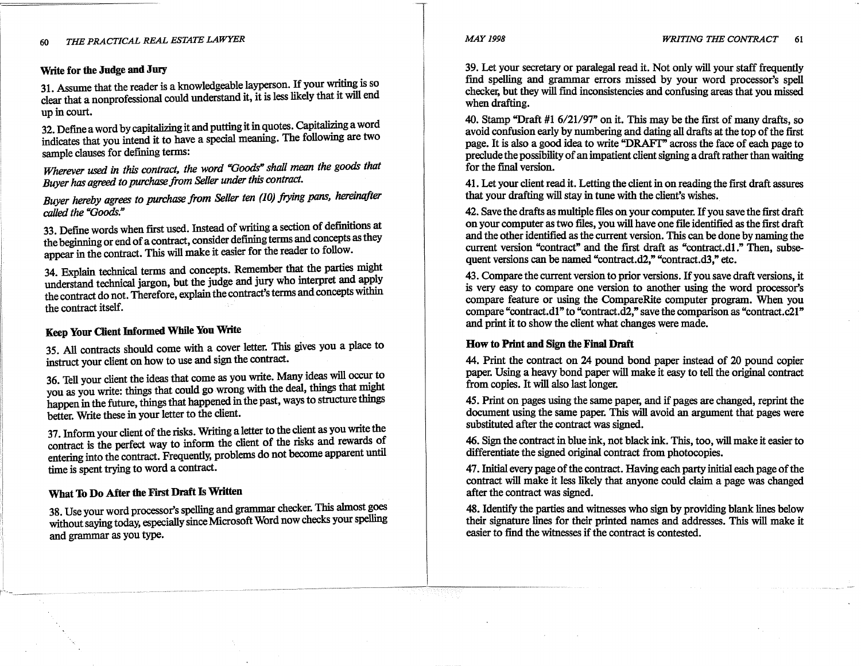#### **Write for the Judge and Jury**

31. Assume that the reader is a knowledgeable layperson. If your writing is so clear that a nonprofessional could understand it, it is less likely that it will end up in court.

32. Define a word by capitalizing it and putting it in quotes. Capitalizing a word indicates that you intend it to have a special meaning. The following are two sample clauses for defining terms:

*Wherever used in this contract, the word "Goods" shall mean the goods that Buyer has agreed to purchase from Seller under this contract.* 

*Buyer hereby agrees to purchase from Seller ten (10) frying pans, hereinqfter called the "Goods."* 

33. Define words when first used. Instead of writing a section of definitions at the beginning or end of a contract, consider defining terms and concepts as they appear in the contract. This will make it easier for the reader to follow.

34. Explain technical terms and concepts. Remember that the parties might understand technical jargon, but the judge and jury who interpret and apply the contract do not. Therefore, explain the contract's terms and concepts within the contract itself.

# **Keep Your Oient Informed While Yon Write**

35. All contracts should come with a cover letter. This gives you a place to instruct your client on how to use and sign the contract.

36. Tell your client the ideas that come as you write. Many ideas will occur to you as you write: things that could go wrong with the deal, things that might happen in the future, things that happened in the past, ways to structure things better. Write these in your letter to the client.

37. Inform your client of the risks. Writing a letter to the client as you write the contract is the perfect way to inform the client of the risks and rewards of entering into the contract. Frequently, problems do not become apparent until time is spent trying to word a contract.

### **What To Do After the First Draft** Is **Written**

38. Use your word processor's spelling and grammar checker. This almost goes without saying today, especially since Microsoft Word now checks your spelling and grammar as you type.

39. Let your secretary or paralegal read it. Not only will your staff frequently find spelling and grammar errors missed by your word processor's spell checker, but they will find inconsistencies and confusing areas that you missed when drafting.

40. Stamp "Draft #1 6/21/97" on it. This may be the first of many drafts so avoid confusion early by numbering and dating all drafts at the top of the first page. It is also a good idea to write "DRAFT" across the face of each page to preclude the possibility of an impatient client signing a draft rather than waiting for the final version.

41. Let your client read it. Letting the client in on reading the first draft assures that your drafting will stay in tune with the client's wishes.

42. Save the drafts as multiple files on your computer. If you save the first draft on your computer as two files, you will have one file identified as the first draft and the other identified as the current version. This can be done by naming the current version "contract" and the first draft as "contract.di." Then, subsequent versions can be named "contract.d2," "contract.d3," etc.

~3. Compare the current version to prior versions. If you save draft versions, it is very easy to compare one version to another using the word processor's compare feature or using the CompareRite computer program. When you compare "contract.dl" to "contract.d2," save the comparison as "contract.c21" and print it to show the client what changes were made.

#### **How to Print and Sign the Final Draft**

44. Print the contract on 24 pound bond paper instead of 20 pound copier paper. Using a heavy bond paper will make it easy to tell the original contract from copies. It will also last longer.

45. Print on pages using the same paper, and if pages are changed, reprint the document using the same paper. This will avoid an argument that pages were substituted after the contract was signed.

46. Sign the contract in blue ink, not black ink. This, too, will make it easier to differentiate the signed original contract from photocopies.

47. Initial every page of the contract. Having each party initial each page of the contract will make it less likely that anyone could claim a page was changed after the contract was signed.

48. Identify the parties and witnesses who sign by providing blank lines below their signature lines for their printed names and addresses. This will make it easier to find the witnesses if the contract is contested.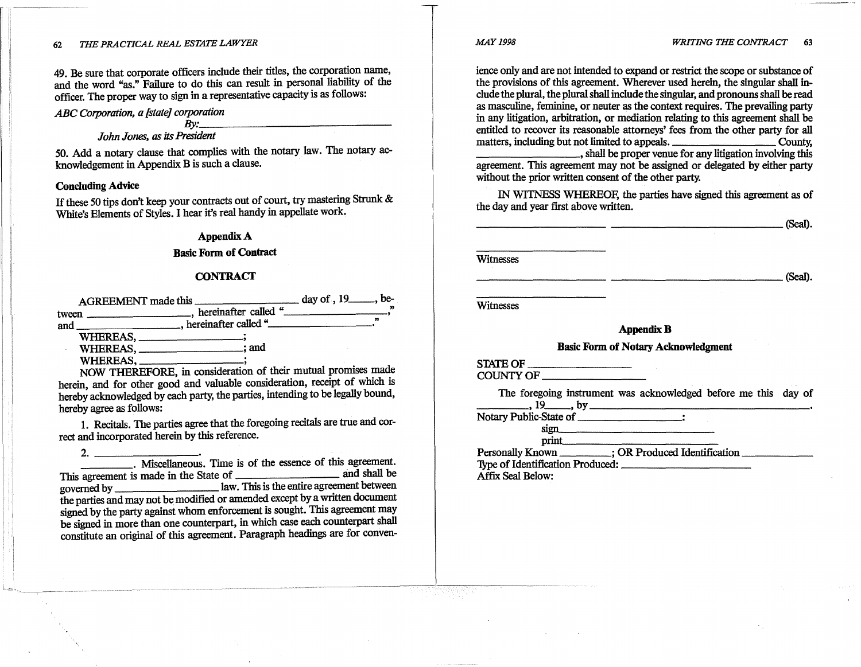49. Be sure that corporate officers include their titles, the corporation name, and the word "as." Failure to do this can result in personal liability of the officer. The proper way to sign in a representative capacity is as follows:

# *ABC Corporation, a [state] corporation By: \_\_\_\_\_\_\_\_\_\_\_\_ \_*

# *John Jones, as its President*

50. Add a notary clause that complies with the notary law. The notary acknowledgement in Appendix B is such a clause.

#### **Concluding Advice**

If these 50 tips don't keep your contracts out of court, try mastering Strunk & White's Elements of Styles. I hear it's real handy in appellate work.

#### **AppendixA**

#### Basic Form of Contract

#### **CONTRACT**

| <b>AGREEMENT</b> made this |                         | day of $\, 19$ , be- |
|----------------------------|-------------------------|----------------------|
| tween                      | hereinafter called "    |                      |
| and                        | _, hereinafter called " |                      |
| WHEREAS.                   |                         |                      |
| WHEREAS.                   | : and                   |                      |
| WHEREAS                    |                         |                      |

NOW THEREFORE, in consideration of their mutual promises made herein, and for other good and valuable consideration, receipt of which is hereby acknowledged by each party, the parties, intending to be legally bound, hereby agree as follows:

1. Recitals. The parties agree that the foregoing recitals are true and correct and incorporated herein by this reference.

2. -------- ----· Miscellaneous. Time is of the essence of this agreement. This agreement is made in the State of \_\_\_\_\_\_\_\_ and shall be governed by \_\_\_\_\_\_\_\_\_\_\_\_\_\_\_\_\_\_\_\_\_\_ law. This is the entire agreement between the parties and may not be modified or amended except by a written document signed by the party against whom enforcement is sought. This agreement may be signed in more than one counterpart, in which case each counterpart shall constitute an original of this agreement. Paragraph headings are for convenience only and are not intended to expand or restrict the scope or substance of the provisions of this agreement. Wherever used herein, the singular shall include the plural, the plural shall include the singular, and pronouns shall be read as masculine, feminine, or neuter as the context requires. The prevailing party in any litigation, arbitration, or mediation relating to this agreement shall be entitled to recover its reasonable attorneys' fees from the other party for all matters, including but not limited to appeals. \_\_\_\_\_\_\_\_\_\_\_\_\_\_\_\_\_\_\_\_\_\_\_\_County,  $\frac{1}{2}$ , shall be proper venue for any litigation involving this

agreement. This agreement may not be assigned or delegated by either party without the prior written consent of the other party.

IN WITNESS WHEREOF, the parties have signed this agreement as of the day and year first above written.

--------- \_\_\_\_\_\_\_\_\_\_\_\_ (Seal).

Witnesses

------~-- \_\_\_\_\_\_\_\_\_\_\_\_ (Seal).

**Witnesses** 

#### **AppendixB**

#### Basic Form of Notary Acknowledgment

STATE OF \_\_\_\_\_\_ \_ COUNTY OF \_\_\_\_\_\_ \_

The foregoing instrument was acknowledged before me this day of  $\frac{19}{19}$  , by

Notary Public-State of \_\_\_\_\_\_ \_

 $\begin{minipage}{.4\linewidth} \begin{tabular}{l} \hline \text{sign} & \text{rel} \\\hline \text{print} & \text{rel} \\\hline \end{tabular} \end{minipage}$ Personally Known \_\_\_\_\_\_\_\_; OR Produced Identification \_\_\_\_\_\_\_\_\_\_\_\_\_ 'fype of Identification Produced: \_\_\_\_\_\_\_\_\_ \_

Affix Seal Below: